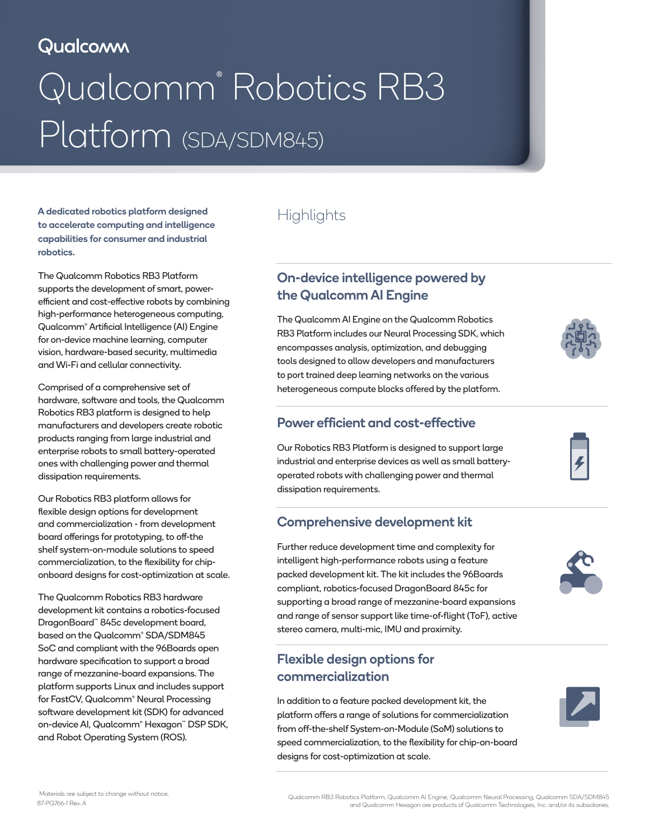# Qualcomm

# Qualcomm® Robotics RB3 Platform (SDA/SDM845)

A dedicated robotics platform designed to accelerate computing and intelligence capabilities for consumer and industrial robotics.

The Qualcomm Robotics RB3 Platform supports the development of smart, powerefficient and cost-effective robots by combining high-performance heterogeneous computing, Qualcomm® Artificial Intelligence (AI) Engine for on-device machine learning, computer vision, hardware-based security, multimedia and Wi-Fi and cellular connectivity.

Comprised of a comprehensive set of hardware, software and tools, the Qualcomm Robotics RB3 platform is designed to help manufacturers and developers create robotic products ranging from large industrial and enterprise robots to small battery-operated ones with challenging power and thermal dissipation requirements.

Our Robotics RB3 platform allows for flexible design options for development and commercialization - from development board offerings for prototyping, to off-the shelf system-on-module solutions to speed commercialization, to the flexibility for chiponboard designs for cost-optimization at scale.

The Qualcomm Robotics RB3 hardware development kit contains a robotics-focused DragonBoard™ 845c development board, based on the Qualcomm® SDA/SDM845 SoC and compliant with the 96Boards open hardware specification to support a broad range of mezzanine-board expansions. The platform supports Linux and includes support for FastCV, Qualcomm® Neural Processing software development kit (SDK) for advanced on-device AI, Qualcomm® Hexagon™ DSP SDK, and Robot Operating System (ROS).

# **Highlights**

### On-device intelligence powered by the Qualcomm AI Engine

The Qualcomm AI Engine on the Qualcomm Robotics RB3 Platform includes our Neural Processing SDK, which encompasses analysis, optimization, and debugging tools designed to allow developers and manufacturers to port trained deep learning networks on the various heterogeneous compute blocks offered by the platform.



#### Power efficient and cost-effective

Our Robotics RB3 Platform is designed to support large industrial and enterprise devices as well as small batteryoperated robots with challenging power and thermal dissipation requirements.

#### Comprehensive development kit

Further reduce development time and complexity for intelligent high-performance robots using a feature packed development kit. The kit includes the 96Boards compliant, robotics-focused DragonBoard 845c for supporting a broad range of mezzanine-board expansions and range of sensor support like time-of-flight (ToF), active stereo camera, multi-mic, IMU and proximity.

#### Flexible design options for commercialization

In addition to a feature packed development kit, the platform offers a range of solutions for commercialization from off-the-shelf System-on-Module (SoM) solutions to speed commercialization, to the flexibility for chip-on-board designs for cost-optimization at scale.





Materials are subject to change without notice.<br>Gyualcomm RB3 Robotics Platform, Qualcomm AI Engine, Qualcomm Neural Processing, Qualcomm SDA/SDM845<br>and Qualcomm Hexagon are products of Qualcomm Technologies, Inc. and/or i